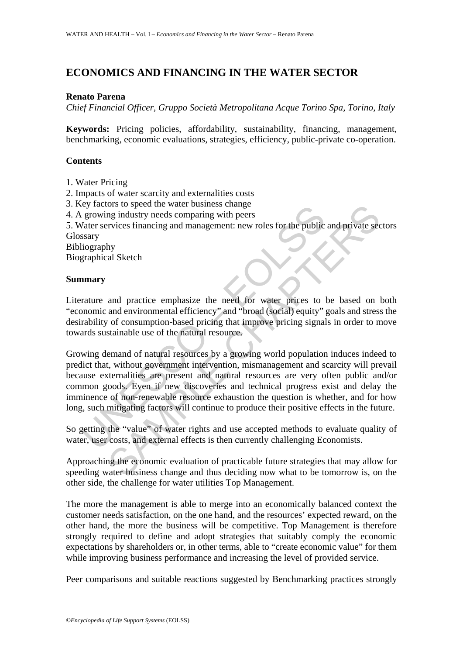# **ECONOMICS AND FINANCING IN THE WATER SECTOR**

### **Renato Parena**

*Chief Financial Officer, Gruppo Società Metropolitana Acque Torino Spa, Torino, Italy*

**Keywords:** Pricing policies, affordability, sustainability, financing, management, benchmarking, economic evaluations, strategies, efficiency, public-private co-operation.

## **Contents**

- 1. Water Pricing
- 2. Impacts of water scarcity and externalities costs
- 3. Key factors to speed the water business change
- 4. A growing industry needs comparing with peers

5. Water services financing and management: new roles for the public and private sectors Glossary

Bibliography

Biographical Sketch

#### **Summary**

Literature and practice emphasize the need for water prices to be based on both "economic and environmental efficiency" and "broad (social) equity" goals and stress the desirability of consumption-based pricing that improve pricing signals in order to move towards sustainable use of the natural resource.

Explacious to speed the water ousliess change<br>
and a growing industry needs comparing with peers<br>
a fare rervices financing and management: new roles for the public<br>
stary<br>
liography<br>
liography<br>
graphical Sketch<br> **and a** e They imaginary measure of the water business change<br>or so speed the water business changes and private sections in the measurement: new roles for the public and private sectiveles financing and management: new roles for th Growing demand of natural resources by a growing world population induces indeed to predict that, without government intervention, mismanagement and scarcity will prevail because externalities are present and natural resources are very often public and/or common goods. Even if new discoveries and technical progress exist and delay the imminence of non-renewable resource exhaustion the question is whether, and for how long, such mitigating factors will continue to produce their positive effects in the future.

So getting the "value" of water rights and use accepted methods to evaluate quality of water, user costs, and external effects is then currently challenging Economists.

Approaching the economic evaluation of practicable future strategies that may allow for speeding water business change and thus deciding now what to be tomorrow is, on the other side, the challenge for water utilities Top Management.

The more the management is able to merge into an economically balanced context the customer needs satisfaction, on the one hand, and the resources' expected reward, on the other hand, the more the business will be competitive. Top Management is therefore strongly required to define and adopt strategies that suitably comply the economic expectations by shareholders or, in other terms, able to "create economic value" for them while improving business performance and increasing the level of provided service.

Peer comparisons and suitable reactions suggested by Benchmarking practices strongly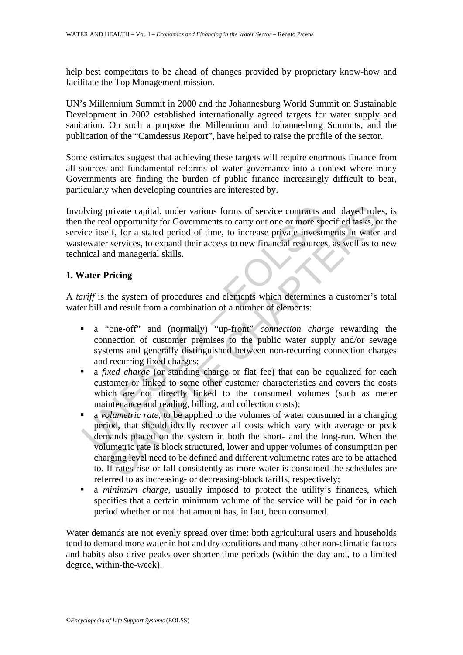help best competitors to be ahead of changes provided by proprietary know-how and facilitate the Top Management mission.

UN's Millennium Summit in 2000 and the Johannesburg World Summit on Sustainable Development in 2002 established internationally agreed targets for water supply and sanitation. On such a purpose the Millennium and Johannesburg Summits, and the publication of the "Camdessus Report", have helped to raise the profile of the sector.

Some estimates suggest that achieving these targets will require enormous finance from all sources and fundamental reforms of water governance into a context where many Governments are finding the burden of public finance increasingly difficult to bear, particularly when developing countries are interested by.

bying private capital, under various forms of service contracts a<br>
the real opportunity for Governments to carry out one or more spice<br>
itself, for a stated period of time, to increase private investre<br>
tewater services, t Involving private capital, under various forms of service contracts and played roles, is then the real opportunity for Governments to carry out one or more specified tasks, or the service itself, for a stated period of time, to increase private investments in water and wastewater services, to expand their access to new financial resources, as well as to new technical and managerial skills.

# **1. Water Pricing**

A *tariff* is the system of procedures and elements which determines a customer's total water bill and result from a combination of a number of elements:

- a "one-off" and (normally) "up-front" *connection charge* rewarding the connection of customer premises to the public water supply and/or sewage systems and generally distinguished between non-recurring connection charges and recurring fixed charges;
- a *fixed charge* (or standing charge or flat fee) that can be equalized for each customer or linked to some other customer characteristics and covers the costs which are not directly linked to the consumed volumes (such as meter maintenance and reading, billing, and collection costs);
- private capital, under various forms of service contracts and played role<br>al opportunity for Governments to carry out one or more specified tasks, or<br>services, to exated period of time, to increase private investments in w a *volumetric rate*, to be applied to the volumes of water consumed in a charging period, that should ideally recover all costs which vary with average or peak demands placed on the system in both the short- and the long-run. When the volumetric rate is block structured, lower and upper volumes of consumption per charging level need to be defined and different volumetric rates are to be attached to. If rates rise or fall consistently as more water is consumed the schedules are referred to as increasing- or decreasing-block tariffs, respectively;
- a *minimum charge*, usually imposed to protect the utility's finances, which specifies that a certain minimum volume of the service will be paid for in each period whether or not that amount has, in fact, been consumed.

Water demands are not evenly spread over time: both agricultural users and households tend to demand more water in hot and dry conditions and many other non-climatic factors and habits also drive peaks over shorter time periods (within-the-day and, to a limited degree, within-the-week).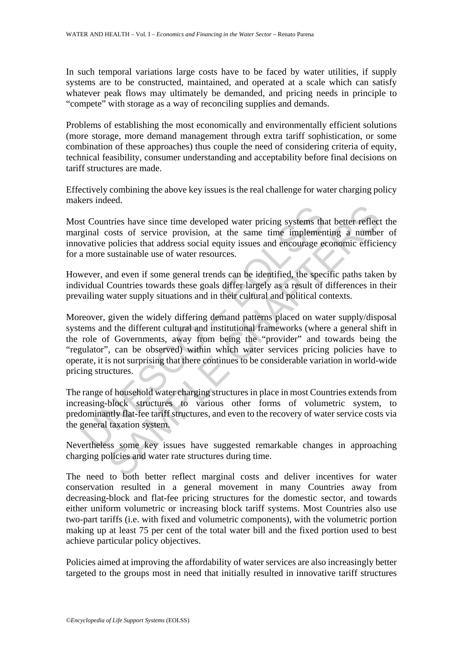In such temporal variations large costs have to be faced by water utilities, if supply systems are to be constructed, maintained, and operated at a scale which can satisfy whatever peak flows may ultimately be demanded, and pricing needs in principle to "compete" with storage as a way of reconciling supplies and demands.

Problems of establishing the most economically and environmentally efficient solutions (more storage, more demand management through extra tariff sophistication, or some combination of these approaches) thus couple the need of considering criteria of equity, technical feasibility, consumer understanding and acceptability before final decisions on tariff structures are made.

Effectively combining the above key issues is the real challenge for water charging policy makers indeed.

Most Countries have since time developed water pricing systems that better reflect the marginal costs of service provision, at the same time implementing a number of innovative policies that address social equity issues and encourage economic efficiency for a more sustainable use of water resources.

However, and even if some general trends can be identified, the specific paths taken by individual Countries towards these goals differ largely as a result of differences in their prevailing water supply situations and in their cultural and political contexts.

It Countries have since time developed water pricing systems the<br>ginal costs of service provision, at the same time implemental<br>wative policies that address social equity issues and encourage et<br>a more sustainable use of w The state time developed water pricing systems that better reflections and several and the same time implementing a numbe policies that address social equity issues and encourage economic efficit sustainable use of water r Moreover, given the widely differing demand patterns placed on water supply/disposal systems and the different cultural and institutional frameworks (where a general shift in the role of Governments, away from being the "provider" and towards being the "regulator", can be observed) within which water services pricing policies have to operate, it is not surprising that there continues to be considerable variation in world-wide pricing structures.

The range of household water charging structures in place in most Countries extends from increasing-block structures to various other forms of volumetric system, to predominantly flat-fee tariff structures, and even to the recovery of water service costs via the general taxation system.

Nevertheless some key issues have suggested remarkable changes in approaching charging policies and water rate structures during time.

The need to both better reflect marginal costs and deliver incentives for water conservation resulted in a general movement in many Countries away from decreasing-block and flat-fee pricing structures for the domestic sector, and towards either uniform volumetric or increasing block tariff systems. Most Countries also use two-part tariffs (i.e. with fixed and volumetric components), with the volumetric portion making up at least 75 per cent of the total water bill and the fixed portion used to best achieve particular policy objectives.

Policies aimed at improving the affordability of water services are also increasingly better targeted to the groups most in need that initially resulted in innovative tariff structures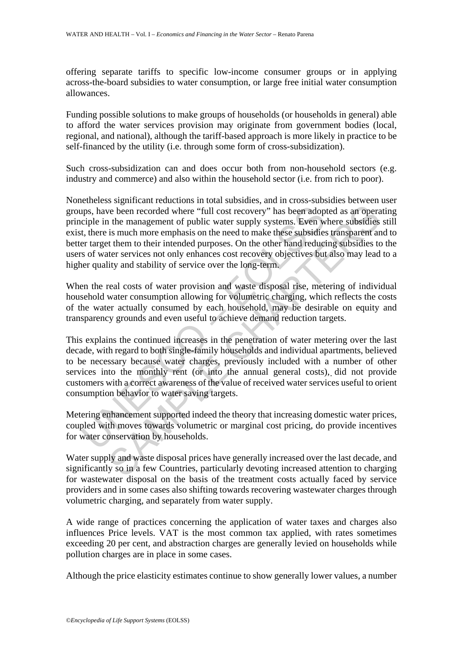offering separate tariffs to specific low-income consumer groups or in applying across-the-board subsidies to water consumption, or large free initial water consumption allowances.

Funding possible solutions to make groups of households (or households in general) able to afford the water services provision may originate from government bodies (local, regional, and national), although the tariff-based approach is more likely in practice to be self-financed by the utility (i.e. through some form of cross-subsidization).

Such cross-subsidization can and does occur both from non-household sectors (e.g. industry and commerce) and also within the household sector (i.e. from rich to poor).

pps, have been recorded where "full cost recovery" has been adop<br>ciple in the management of public water supply systems. Even w<br>t, there is much more emphasis on the need to make these subsidies<br>er target them to their int we been recorded where "full cost recovery" has been adopted as an operation the management of public water supply systems. Even where subsidies is much more emphasis on the need to make these subsidies to the mention or e Nonetheless significant reductions in total subsidies, and in cross-subsidies between user groups, have been recorded where "full cost recovery" has been adopted as an operating principle in the management of public water supply systems. Even where subsidies still exist, there is much more emphasis on the need to make these subsidies transparent and to better target them to their intended purposes. On the other hand reducing subsidies to the users of water services not only enhances cost recovery objectives but also may lead to a higher quality and stability of service over the long-term.

When the real costs of water provision and waste disposal rise, metering of individual household water consumption allowing for volumetric charging, which reflects the costs of the water actually consumed by each household, may be desirable on equity and transparency grounds and even useful to achieve demand reduction targets.

This explains the continued increases in the penetration of water metering over the last decade, with regard to both single-family households and individual apartments, believed to be necessary because water charges, previously included with a number of other services into the monthly rent (or into the annual general costs), did not provide customers with a correct awareness of the value of received water services useful to orient consumption behavior to water saving targets.

Metering enhancement supported indeed the theory that increasing domestic water prices, coupled with moves towards volumetric or marginal cost pricing, do provide incentives for water conservation by households.

Water supply and waste disposal prices have generally increased over the last decade, and significantly so in a few Countries, particularly devoting increased attention to charging for wastewater disposal on the basis of the treatment costs actually faced by service providers and in some cases also shifting towards recovering wastewater charges through volumetric charging, and separately from water supply.

A wide range of practices concerning the application of water taxes and charges also influences Price levels. VAT is the most common tax applied, with rates sometimes exceeding 20 per cent, and abstraction charges are generally levied on households while pollution charges are in place in some cases.

Although the price elasticity estimates continue to show generally lower values, a number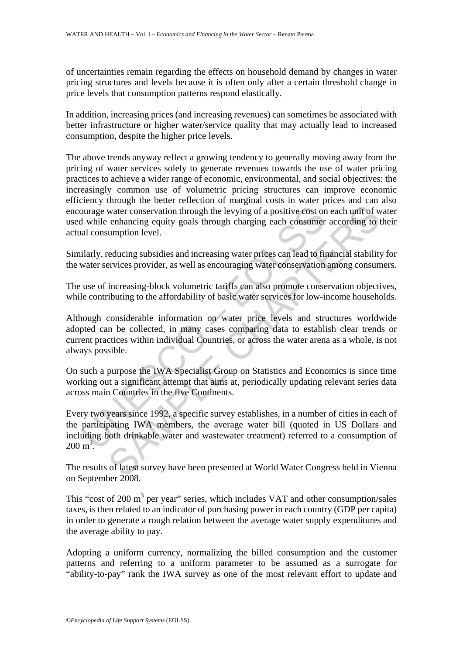of uncertainties remain regarding the effects on household demand by changes in water pricing structures and levels because it is often only after a certain threshold change in price levels that consumption patterns respond elastically.

In addition, increasing prices (and increasing revenues) can sometimes be associated with better infrastructure or higher water/service quality that may actually lead to increased consumption, despite the higher price levels.

The above trends anyway reflect a growing tendency to generally moving away from the pricing of water services solely to generate revenues towards the use of water pricing practices to achieve a wider range of economic, environmental, and social objectives: the increasingly common use of volumetric pricing structures can improve economic efficiency through the better reflection of marginal costs in water prices and can also encourage water conservation through the levying of a positive cost on each unit of water used while enhancing equity goals through charging each consumer according to their actual consumption level.

Similarly, reducing subsidies and increasing water prices can lead to financial stability for the water services provider, as well as encouraging water conservation among consumers.

The use of increasing-block volumetric tariffs can also promote conservation objectives, while contributing to the affordability of basic water services for low-income households.

burstage water conservation through the levying of a positive cost of<br>a while enhancing equity goals through charging each consumer<br>al consumption level.<br>liarly, reducing subsidies and increasing water prices can lead to f water conservation through the levying of a positive cost on each unit of w<br>enhancing equity goals through charging each consumer according to<br>tumption level.<br>educing subsidies and increasing water priess can lead to finan Although considerable information on water price levels and structures worldwide adopted can be collected, in many cases comparing data to establish clear trends or current practices within individual Countries, or across the water arena as a whole, is not always possible.

On such a purpose the IWA Specialist Group on Statistics and Economics is since time working out a significant attempt that aims at, periodically updating relevant series data across main Countries in the five Continents.

Every two years since 1992, a specific survey establishes, in a number of cities in each of the participating IWA members, the average water bill (quoted in US Dollars and including both drinkable water and wastewater treatment) referred to a consumption of  $200 \text{ m}^3$ .

The results of latest survey have been presented at World Water Congress held in Vienna on September 2008.

This "cost of 200  $m<sup>3</sup>$  per year" series, which includes VAT and other consumption/sales taxes, is then related to an indicator of purchasing power in each country (GDP per capita) in order to generate a rough relation between the average water supply expenditures and the average ability to pay.

Adopting a uniform currency, normalizing the billed consumption and the customer patterns and referring to a uniform parameter to be assumed as a surrogate for "ability-to-pay" rank the IWA survey as one of the most relevant effort to update and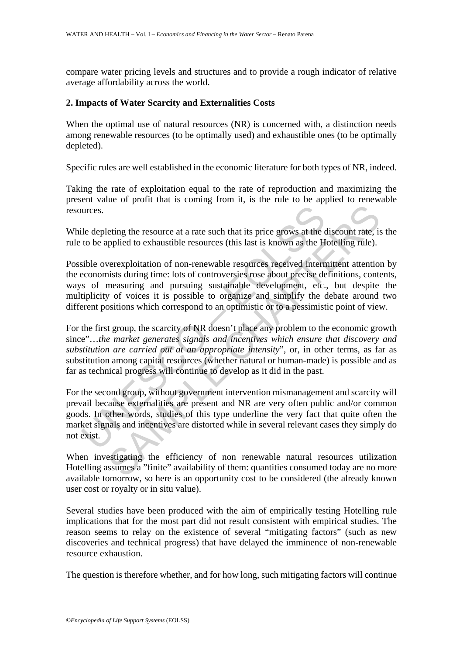compare water pricing levels and structures and to provide a rough indicator of relative average affordability across the world.

### **2. Impacts of Water Scarcity and Externalities Costs**

When the optimal use of natural resources (NR) is concerned with, a distinction needs among renewable resources (to be optimally used) and exhaustible ones (to be optimally depleted).

Specific rules are well established in the economic literature for both types of NR, indeed.

Taking the rate of exploitation equal to the rate of reproduction and maximizing the present value of profit that is coming from it, is the rule to be applied to renewable resources.

While depleting the resource at a rate such that its price grows at the discount rate, is the rule to be applied to exhaustible resources (this last is known as the Hotelling rule).

The depleting the resource at a rate such that its price grows at the complete depleting the resource at a rate such that its price grows at the complete to be applied to exhaustible resources (this last is known as the H Frame the resource at a rate such that its price grows at the discount rate, is<br>ppplied to exhaustible resources (this last is known as the Hotelling rule).<br>
Exerceptoitation of non-renewable resources received intermitten Possible overexploitation of non-renewable resources received intermittent attention by the economists during time: lots of controversies rose about precise definitions, contents, ways of measuring and pursuing sustainable development, etc., but despite the multiplicity of voices it is possible to organize and simplify the debate around two different positions which correspond to an optimistic or to a pessimistic point of view.

For the first group, the scarcity of NR doesn't place any problem to the economic growth since"…*the market generates signals and incentives which ensure that discovery and substitution are carried out at an appropriate intensity*", or, in other terms, as far as substitution among capital resources (whether natural or human-made) is possible and as far as technical progress will continue to develop as it did in the past.

For the second group, without government intervention mismanagement and scarcity will prevail because externalities are present and NR are very often public and/or common goods. In other words, studies of this type underline the very fact that quite often the market signals and incentives are distorted while in several relevant cases they simply do not exist.

When investigating the efficiency of non renewable natural resources utilization Hotelling assumes a "finite" availability of them: quantities consumed today are no more available tomorrow, so here is an opportunity cost to be considered (the already known user cost or royalty or in situ value).

Several studies have been produced with the aim of empirically testing Hotelling rule implications that for the most part did not result consistent with empirical studies. The reason seems to relay on the existence of several "mitigating factors" (such as new discoveries and technical progress) that have delayed the imminence of non-renewable resource exhaustion.

The question is therefore whether, and for how long, such mitigating factors will continue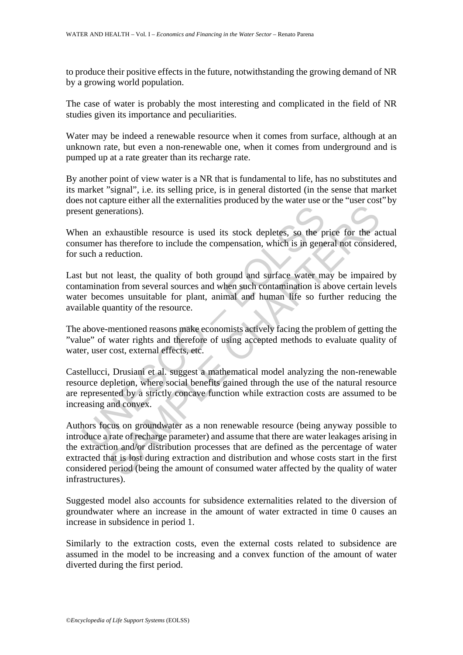to produce their positive effects in the future, notwithstanding the growing demand of NR by a growing world population.

The case of water is probably the most interesting and complicated in the field of NR studies given its importance and peculiarities.

Water may be indeed a renewable resource when it comes from surface, although at an unknown rate, but even a non-renewable one, when it comes from underground and is pumped up at a rate greater than its recharge rate.

By another point of view water is a NR that is fundamental to life, has no substitutes and its market "signal", i.e. its selling price, is in general distorted (in the sense that market does not capture either all the externalities produced by the water use or the "user cost" by present generations).

When an exhaustible resource is used its stock depletes, so the price for the actual consumer has therefore to include the compensation, which is in general not considered, for such a reduction.

en an exhaustible resource is used its stock depletes, so the p<br>sumer has therefore to include the compensation, which is in gene<br>such a reduction.<br>that not least, the quality of both ground and surface water m<br>tamination Last but not least, the quality of both ground and surface water may be impaired by contamination from several sources and when such contamination is above certain levels water becomes unsuitable for plant, animal and human life so further reducing the available quantity of the resource.

The above-mentioned reasons make economists actively facing the problem of getting the "value" of water rights and therefore of using accepted methods to evaluate quality of water, user cost, external effects, etc.

Castellucci, Drusiani et al. suggest a mathematical model analyzing the non-renewable resource depletion, where social benefits gained through the use of the natural resource are represented by a strictly concave function while extraction costs are assumed to be increasing and convex.

exhaustible resource is used its stock depletes, so the price for the accession and therefore to include the compensation, which is in general not considered<br>reduction.<br>So the least, the quality of both ground and surface Authors focus on groundwater as a non renewable resource (being anyway possible to introduce a rate of recharge parameter) and assume that there are water leakages arising in the extraction and/or distribution processes that are defined as the percentage of water extracted that is lost during extraction and distribution and whose costs start in the first considered period (being the amount of consumed water affected by the quality of water infrastructures).

Suggested model also accounts for subsidence externalities related to the diversion of groundwater where an increase in the amount of water extracted in time 0 causes an increase in subsidence in period 1.

Similarly to the extraction costs, even the external costs related to subsidence are assumed in the model to be increasing and a convex function of the amount of water diverted during the first period.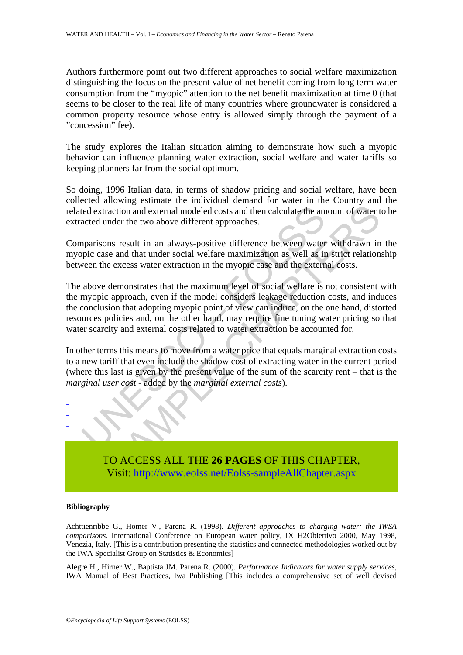Authors furthermore point out two different approaches to social welfare maximization distinguishing the focus on the present value of net benefit coming from long term water consumption from the "myopic" attention to the net benefit maximization at time 0 (that seems to be closer to the real life of many countries where groundwater is considered a common property resource whose entry is allowed simply through the payment of a "concession" fee).

The study explores the Italian situation aiming to demonstrate how such a myopic behavior can influence planning water extraction, social welfare and water tariffs so keeping planners far from the social optimum.

So doing, 1996 Italian data, in terms of shadow pricing and social welfare, have been collected allowing estimate the individual demand for water in the Country and the related extraction and external modeled costs and then calculate the amount of water to be extracted under the two above different approaches.

Comparisons result in an always-positive difference between water withdrawn in the myopic case and that under social welfare maximization as well as in strict relationship between the excess water extraction in the myopic case and the external costs.

ted extraction and external modeled costs and then calculate the ameted under the two above different approaches.<br>
apparisons result in an always-positive difference between water<br>
pic case and that under social welfare ma action and external modeled costs and then calculate the amount of water the action and external modeled costs and then calculate the amount of water the two above different approaches.<br>
In result in an always-positive dif The above demonstrates that the maximum level of social welfare is not consistent with the myopic approach, even if the model considers leakage reduction costs, and induces the conclusion that adopting myopic point of view can induce, on the one hand, distorted resources policies and, on the other hand, may require fine tuning water pricing so that water scarcity and external costs related to water extraction be accounted for.

In other terms this means to move from a water price that equals marginal extraction costs to a new tariff that even include the shadow cost of extracting water in the current period (where this last is given by the present value of the sum of the scarcity rent – that is the *marginal user cost* - added by the *marginal external costs*).



#### **Bibliography**

- - -

Achttienribbe G., Homer V., Parena R. (1998). *Different approaches to charging water: the IWSA comparisons*. International Conference on European water policy, IX H2Obiettivo 2000, May 1998, Venezia, Italy. [This is a contribution presenting the statistics and connected methodologies worked out by the IWA Specialist Group on Statistics & Economics]

Alegre H., Hirner W., Baptista JM. Parena R. (2000). *Performance Indicators for water supply services*, IWA Manual of Best Practices, Iwa Publishing [This includes a comprehensive set of well devised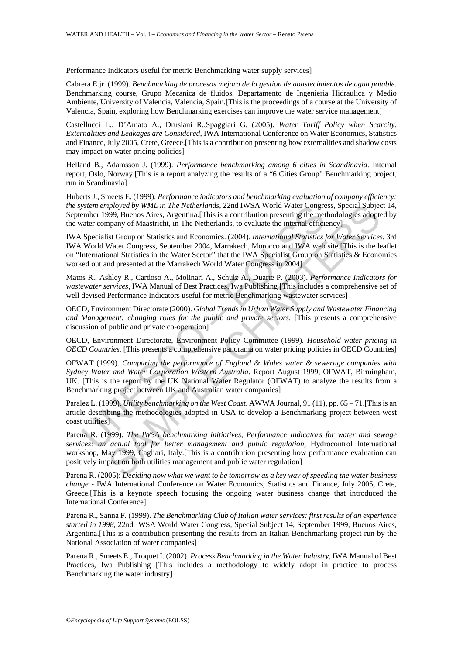Performance Indicators useful for metric Benchmarking water supply services]

Cabrera E.jr. (1999). *Benchmarking de procesos mejora de la gestion de abastecimientos de agua potable*. Benchmarking course, Grupo Mecanica de fluidos, Departamento de Ingenieria Hidraulica y Medio Ambiente, University of Valencia, Valencia, Spain.[This is the proceedings of a course at the University of Valencia, Spain, exploring how Benchmarking exercises can improve the water service management]

Castellucci L., D'Amato A., Drusiani R.,Spaggiari G. (2005). *Water Tariff Policy when Scarcity, Externalities and Leakages are Considered*, IWA International Conference on Water Economics, Statistics and Finance, July 2005, Crete, Greece.[This is a contribution presenting how externalities and shadow costs may impact on water pricing policies]

Helland B., Adamsson J. (1999). *Performance benchmarking among 6 cities in Scandinavia*. Internal report, Oslo, Norway.[This is a report analyzing the results of a "6 Cities Group" Benchmarking project, run in Scandinavia]

Huberts J., Smeets E. (1999). *Performance indicators and benchmarking evaluation of company efficiency: the system employed by WML in The Netherlands*, 22nd IWSA World Water Congress, Special Subject 14, September 1999, Buenos Aires, Argentina.[This is a contribution presenting the methodologies adopted by the water company of Maastricht, in The Netherlands, to evaluate the internal efficiency]

system emphoyed by WML in The Metherlands, 22nd IWSA World Water Congre-<br>nenher 1999, Buenos Aires, Argentina.[This is a contribution presenting the meta-<br>vater company of Maastricht, in The Netherlands, to evaluate the in ployed by WML in The Netherlands, 22nd IWSA World Water Congress, Special Subject by Norton Rives, The Netherlands, to evaluate the internal efficiency appay of Maastricht, in The Netherlands, to evaluate the internal effi IWA Specialist Group on Statistics and Economics. (2004). *International Statistics for Water Services.* 3rd IWA World Water Congress, September 2004, Marrakech, Morocco and IWA web site.[This is the leaflet on "International Statistics in the Water Sector" that the IWA Specialist Group on Statistics & Economics worked out and presented at the Marrakech World Water Congress in 2004]

Matos R., Ashley R., Cardoso A., Molinari A., Schulz A., Duarte P. (2003). *Performance Indicators for wastewater services*, IWA Manual of Best Practices, Iwa Publishing [This includes a comprehensive set of well devised Performance Indicators useful for metric Benchmarking wastewater services]

OECD, Environment Directorate (2000). *Global Trends in Urban Water Supply and Wastewater Financing*  and Management: changing roles for the public and private sectors. [This presents a comprehensive discussion of public and private co-operation]

OECD, Environment Directorate, Environment Policy Committee (1999). *Household water pricing in OECD Countries.* [This presents a comprehensive panorama on water pricing policies in OECD Countries]

OFWAT (1999). *Comparing the performance of England & Wales water & sewerage companies with Sydney Water and Water Corporation Western Australia*. Report August 1999, OFWAT, Birmingham, UK. [This is the report by the UK National Water Regulator (OFWAT) to analyze the results from a Benchmarking project between UK and Australian water companies]

Paralez L. (1999). *Utility benchmarking on the West Coast*. AWWA Journal, 91 (11), pp. 65 – 71.[This is an article describing the methodologies adopted in USA to develop a Benchmarking project between west coast utilities]

Parena R. (1999). *The IWSA benchmarking initiatives, Performance Indicators for water and sewage services: an actual tool for better management and public regulation*, Hydrocontrol International workshop, May 1999, Cagliari, Italy.[This is a contribution presenting how performance evaluation can positively impact on both utilities management and public water regulation]

Parena R. (2005): *Deciding now what we want to be tomorrow as a key way of speeding the water business change* - IWA International Conference on Water Economics, Statistics and Finance, July 2005, Crete, Greece.[This is a keynote speech focusing the ongoing water business change that introduced the International Conference]

Parena R., Sanna F. (1999). *The Benchmarking Club of Italian water services: first results of an experience started in 1998*, 22nd IWSA World Water Congress, Special Subject 14, September 1999, Buenos Aires, Argentina.[This is a contribution presenting the results from an Italian Benchmarking project run by the National Association of water companies]

Parena R., Smeets E., Troquet I. (2002). *Process Benchmarking in the Water Industry*, IWA Manual of Best Practices, Iwa Publishing [This includes a methodology to widely adopt in practice to process Benchmarking the water industry]